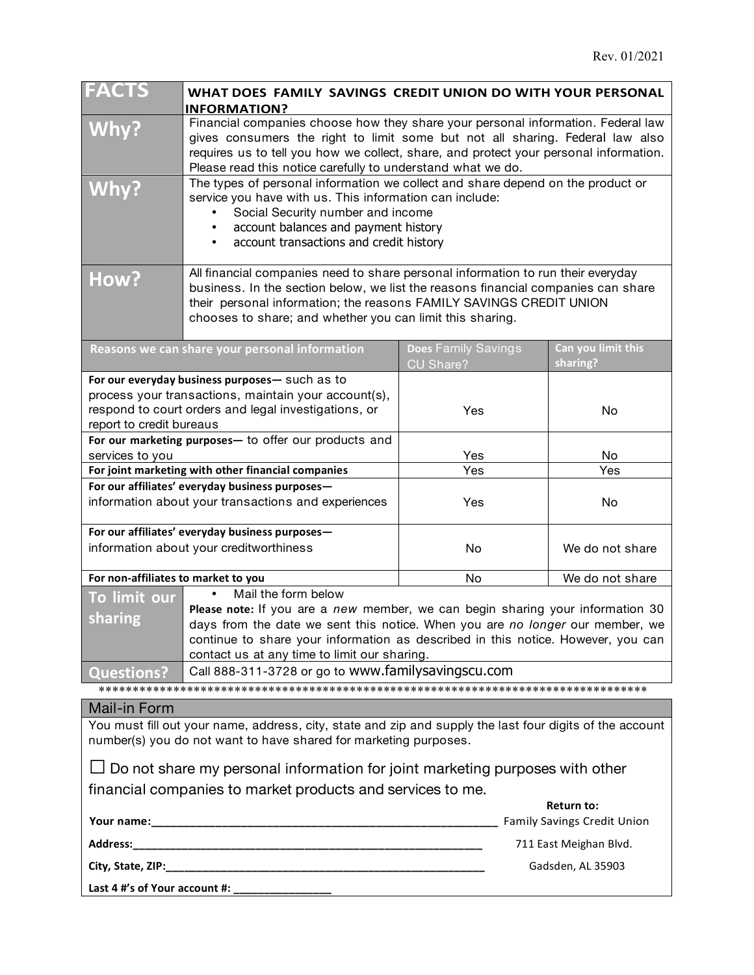| <b>FACTS</b><br>WHAT DOES FAMILY SAVINGS CREDIT UNION DO WITH YOUR PERSONAL<br><b>INFORMATION?</b>                                                                                                                                                                                                                |                                                                                                                                                                                                                                                                                                                           |                                                         |  |
|-------------------------------------------------------------------------------------------------------------------------------------------------------------------------------------------------------------------------------------------------------------------------------------------------------------------|---------------------------------------------------------------------------------------------------------------------------------------------------------------------------------------------------------------------------------------------------------------------------------------------------------------------------|---------------------------------------------------------|--|
| Why?                                                                                                                                                                                                                                                                                                              | Financial companies choose how they share your personal information. Federal law<br>gives consumers the right to limit some but not all sharing. Federal law also<br>requires us to tell you how we collect, share, and protect your personal information.<br>Please read this notice carefully to understand what we do. |                                                         |  |
| Why?                                                                                                                                                                                                                                                                                                              | The types of personal information we collect and share depend on the product or<br>service you have with us. This information can include:<br>Social Security number and income<br>account balances and payment history<br>account transactions and credit history                                                        |                                                         |  |
| All financial companies need to share personal information to run their everyday<br>How?<br>business. In the section below, we list the reasons financial companies can share<br>their personal information; the reasons FAMILY SAVINGS CREDIT UNION<br>chooses to share; and whether you can limit this sharing. |                                                                                                                                                                                                                                                                                                                           |                                                         |  |
| Reasons we can share your personal information                                                                                                                                                                                                                                                                    | Does Family Savings<br>CU Share?                                                                                                                                                                                                                                                                                          | Can you limit this<br>sharing?                          |  |
| For our everyday business purposes- such as to<br>process your transactions, maintain your account(s),<br>respond to court orders and legal investigations, or<br>report to credit bureaus                                                                                                                        | Yes                                                                                                                                                                                                                                                                                                                       | No                                                      |  |
| For our marketing purposes- to offer our products and<br>services to you                                                                                                                                                                                                                                          | Yes                                                                                                                                                                                                                                                                                                                       | No                                                      |  |
| For joint marketing with other financial companies                                                                                                                                                                                                                                                                | Yes                                                                                                                                                                                                                                                                                                                       | Yes                                                     |  |
| For our affiliates' everyday business purposes-                                                                                                                                                                                                                                                                   |                                                                                                                                                                                                                                                                                                                           |                                                         |  |
| information about your transactions and experiences                                                                                                                                                                                                                                                               | Yes                                                                                                                                                                                                                                                                                                                       | No                                                      |  |
| For our affiliates' everyday business purposes-                                                                                                                                                                                                                                                                   |                                                                                                                                                                                                                                                                                                                           |                                                         |  |
| information about your creditworthiness                                                                                                                                                                                                                                                                           | No                                                                                                                                                                                                                                                                                                                        | We do not share                                         |  |
| For non-affiliates to market to you                                                                                                                                                                                                                                                                               | No                                                                                                                                                                                                                                                                                                                        | We do not share                                         |  |
| Mail the form below<br>$\bullet$<br>To limit our                                                                                                                                                                                                                                                                  |                                                                                                                                                                                                                                                                                                                           |                                                         |  |
| Please note: If you are a new member, we can begin sharing your information 30<br>sharing                                                                                                                                                                                                                         |                                                                                                                                                                                                                                                                                                                           |                                                         |  |
|                                                                                                                                                                                                                                                                                                                   | days from the date we sent this notice. When you are no longer our member, we<br>continue to share your information as described in this notice. However, you can<br>contact us at any time to limit our sharing.                                                                                                         |                                                         |  |
| Call 888-311-3728 or go to www.familysavingscu.com<br><b>Questions?</b>                                                                                                                                                                                                                                           |                                                                                                                                                                                                                                                                                                                           |                                                         |  |
|                                                                                                                                                                                                                                                                                                                   |                                                                                                                                                                                                                                                                                                                           |                                                         |  |
| Mail-in Form                                                                                                                                                                                                                                                                                                      |                                                                                                                                                                                                                                                                                                                           |                                                         |  |
| You must fill out your name, address, city, state and zip and supply the last four digits of the account<br>number(s) you do not want to have shared for marketing purposes.                                                                                                                                      |                                                                                                                                                                                                                                                                                                                           |                                                         |  |
| $\Box$ Do not share my personal information for joint marketing purposes with other                                                                                                                                                                                                                               |                                                                                                                                                                                                                                                                                                                           |                                                         |  |
| financial companies to market products and services to me.                                                                                                                                                                                                                                                        |                                                                                                                                                                                                                                                                                                                           |                                                         |  |
|                                                                                                                                                                                                                                                                                                                   |                                                                                                                                                                                                                                                                                                                           | <b>Return to:</b><br><b>Family Savings Credit Union</b> |  |
|                                                                                                                                                                                                                                                                                                                   |                                                                                                                                                                                                                                                                                                                           |                                                         |  |
|                                                                                                                                                                                                                                                                                                                   |                                                                                                                                                                                                                                                                                                                           | 711 East Meighan Blvd.                                  |  |
|                                                                                                                                                                                                                                                                                                                   |                                                                                                                                                                                                                                                                                                                           | Gadsden, AL 35903                                       |  |